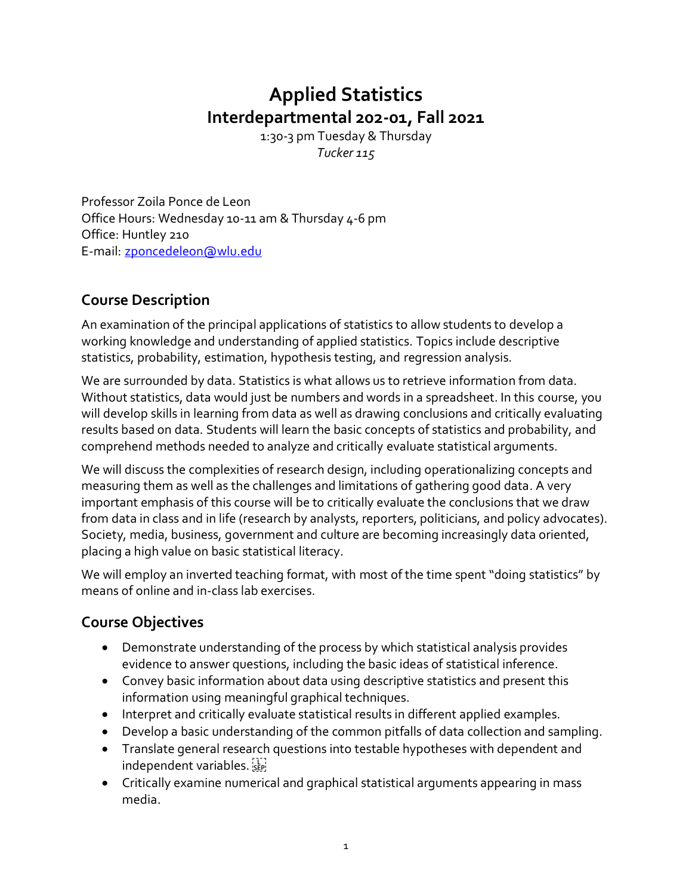# **Applied Statistics Interdepartmental 202-01, Fall 2021**

1:30-3 pm Tuesday & Thursday *Tucker 115*

Professor Zoila Ponce de Leon Office Hours: Wednesday 10-11 am & Thursday 4-6 pm Office: Huntley 210 E-mail: [zponcedeleon@wlu.edu](mailto:zponcedeleon@wlu.edu)

# **Course Description**

An examination of the principal applications of statistics to allow students to develop a working knowledge and understanding of applied statistics. Topics include descriptive statistics, probability, estimation, hypothesis testing, and regression analysis.

We are surrounded by data. Statistics is what allows us to retrieve information from data. Without statistics, data would just be numbers and words in a spreadsheet. In this course, you will develop skills in learning from data as well as drawing conclusions and critically evaluating results based on data. Students will learn the basic concepts of statistics and probability, and comprehend methods needed to analyze and critically evaluate statistical arguments.

We will discuss the complexities of research design, including operationalizing concepts and measuring them as well as the challenges and limitations of gathering good data. A very important emphasis of this course will be to critically evaluate the conclusions that we draw from data in class and in life (research by analysts, reporters, politicians, and policy advocates). Society, media, business, government and culture are becoming increasingly data oriented, placing a high value on basic statistical literacy.

We will employ an inverted teaching format, with most of the time spent "doing statistics" by means of online and in-class lab exercises.

# **Course Objectives**

- Demonstrate understanding of the process by which statistical analysis provides evidence to answer questions, including the basic ideas of statistical inference.
- Convey basic information about data using descriptive statistics and present this information using meaningful graphical techniques.
- Interpret and critically evaluate statistical results in different applied examples.
- Develop a basic understanding of the common pitfalls of data collection and sampling.
- Translate general research questions into testable hypotheses with dependent and independent variables.
- Critically examine numerical and graphical statistical arguments appearing in mass media.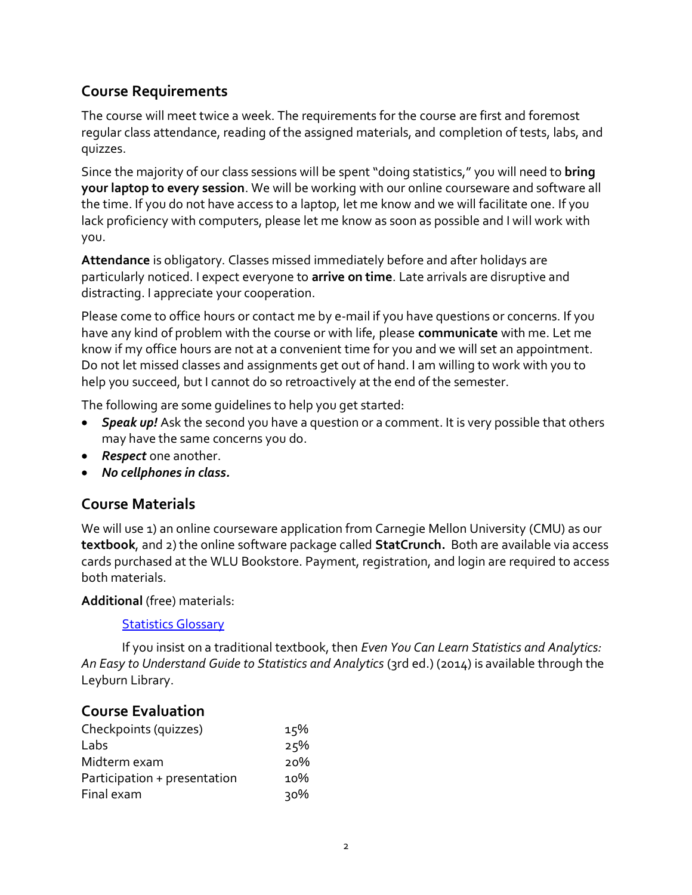## **Course Requirements**

The course will meet twice a week. The requirements for the course are first and foremost regular class attendance, reading of the assigned materials, and completion of tests, labs, and quizzes.

Since the majority of our class sessions will be spent"doing statistics," you will need to **bring your laptop to every session**. We will be working with our online courseware and software all the time. If you do not have access to a laptop, let me know and we will facilitate one. If you lack proficiency with computers, please let me know as soon as possible and I will work with you.

**Attendance** is obligatory. Classes missed immediately before and after holidays are particularly noticed. I expect everyone to **arrive on time**. Late arrivals are disruptive and distracting. I appreciate your cooperation.

Please come to office hours or contact me by e-mail if you have questions or concerns. If you have any kind of problem with the course or with life, please **communicate** with me. Let me know if my office hours are not at a convenient time for you and we will set an appointment. Do not let missed classes and assignments get out of hand. I am willing to work with you to help you succeed, but I cannot do so retroactively at the end of the semester.

The following are some guidelines to help you get started:

- *Speak up!* Ask the second you have a question or a comment. It is very possible that others may have the same concerns you do.
- *Respect* one another.
- *No cellphones in class.*

### **Course Materials**

We will use 1) an online courseware application from Carnegie Mellon University (CMU) as our **textbook**, and 2) the online software package called **StatCrunch.** Both are available via access cards purchased at the WLU Bookstore. Payment, registration, and login are required to access both materials.

#### **Additional** (free) materials:

#### **[Statistics Glossary](https://www.stat.berkeley.edu/~stark/SticiGui/Text/gloss.htm)**

If you insist on a traditional textbook, then *Even You Can Learn Statistics and Analytics: An Easy to Understand Guide to Statistics and Analytics* (3rd ed.) (2014) is available through the Leyburn Library.

### **Course Evaluation**

| Checkpoints (quizzes)        | 15% |
|------------------------------|-----|
| Labs                         | 25% |
| Midterm exam                 | 20% |
| Participation + presentation | 10% |
| Final exam                   | २०% |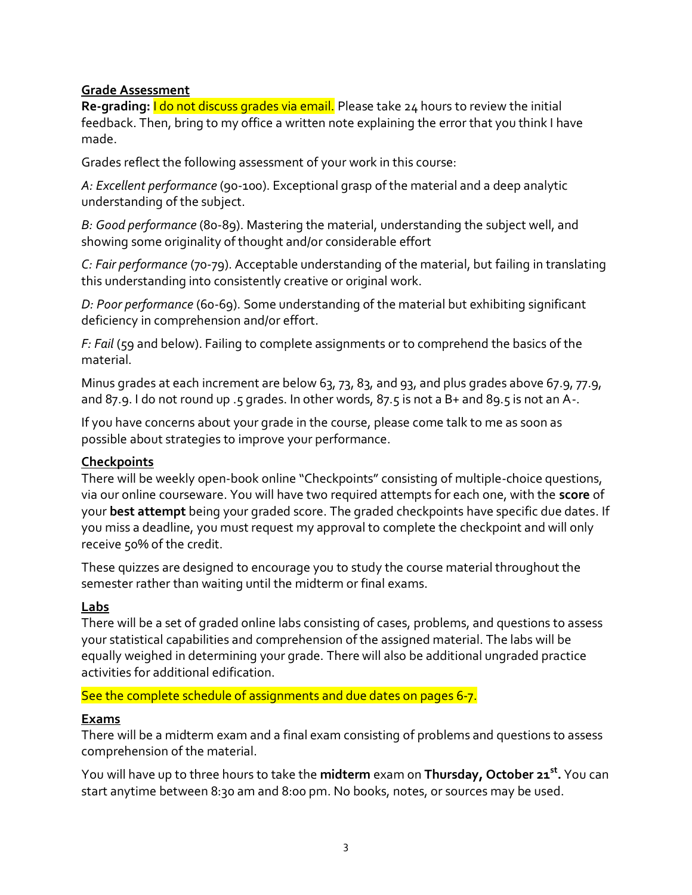#### **Grade Assessment**

**Re-grading:** I do not discuss grades via email. Please take 24 hours to review the initial feedback. Then, bring to my office a written note explaining the error that you think I have made.

Grades reflect the following assessment of your work in this course:

*A: Excellent performance* (90-100). Exceptional grasp of the material and a deep analytic understanding of the subject.

*B: Good performance* (80-89). Mastering the material, understanding the subject well, and showing some originality of thought and/or considerable effort

*C: Fair performance* (70-79). Acceptable understanding of the material, but failing in translating this understanding into consistently creative or original work.

*D: Poor performance* (60-69). Some understanding of the material but exhibiting significant deficiency in comprehension and/or effort.

*F: Fail* (59 and below). Failing to complete assignments or to comprehend the basics of the material.

Minus grades at each increment are below 63, 73, 83, and 93, and plus grades above 67.9, 77.9, and 87.9. I do not round up .5 grades. In other words, 87.5 is not a B+ and 89.5 is not an A-.

If you have concerns about your grade in the course, please come talk to me as soon as possible about strategies to improve your performance.

#### **Checkpoints**

There will be weekly open-book online "Checkpoints" consisting of multiple-choice questions, via our online courseware. You will have two required attempts for each one, with the **score** of your **best attempt** being your graded score. The graded checkpoints have specific due dates. If you miss a deadline, you must request my approval to complete the checkpoint and will only receive 50% of the credit.

These quizzes are designed to encourage you to study the course material throughout the semester rather than waiting until the midterm or final exams.

#### **Labs**

There will be a set of graded online labs consisting of cases, problems, and questions to assess your statistical capabilities and comprehension of the assigned material. The labs will be equally weighed in determining your grade. There will also be additional ungraded practice activities for additional edification.

See the complete schedule of assignments and due dates on pages 6-7.

#### **Exams**

There will be a midterm exam and a final exam consisting of problems and questions to assess comprehension of the material.

You will have up to three hours to take the **midterm** exam on **Thursday, October 21st .** You can start anytime between 8:30 am and 8:00 pm. No books, notes, or sources may be used.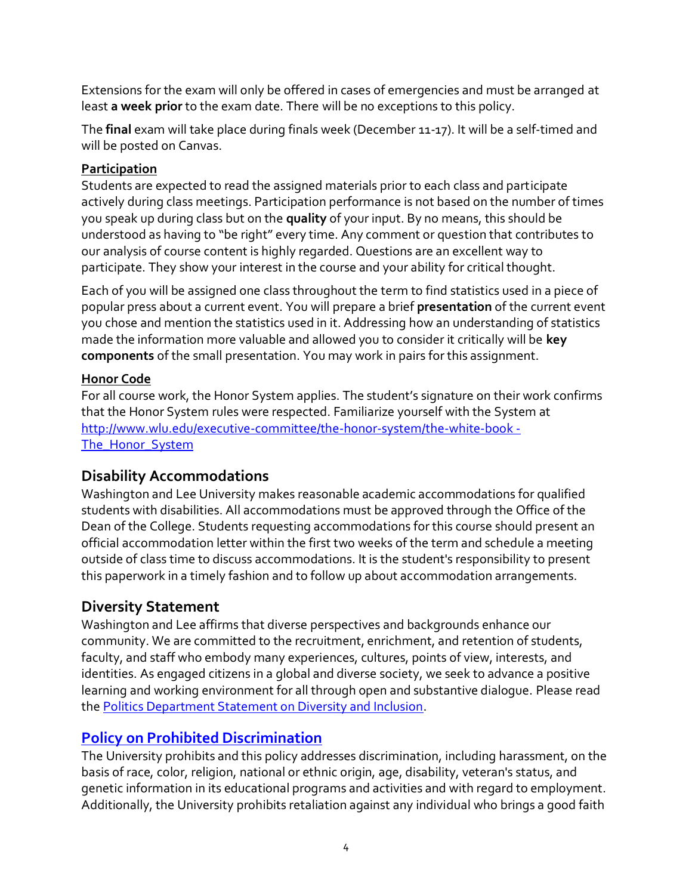Extensions for the exam will only be offered in cases of emergencies and must be arranged at least **a week prior** to the exam date. There will be no exceptions to this policy.

The **final** exam will take place during finals week (December 11-17). It will be a self-timed and will be posted on Canvas.

### **Participation**

Students are expected to read the assigned materials prior to each class and participate actively during class meetings. Participation performance is not based on the number of times you speak up during class but on the **quality** of your input. By no means, this should be understood as having to "be right" every time. Any comment or question that contributes to our analysis of course content is highly regarded. Questions are an excellent way to participate. They show your interest in the course and your ability for critical thought.

Each of you will be assigned one class throughout the term to find statistics used in a piece of popular press about a current event. You will prepare a brief **presentation** of the current event you chose and mention the statistics used in it. Addressing how an understanding of statistics made the information more valuable and allowed you to consider it critically will be **key components** of the small presentation. You may work in pairs for this assignment.

### **Honor Code**

For all course work, the Honor System applies. The student's signature on their work confirms that the Honor System rules were respected. Familiarize yourself with the System at [http://www.wlu.edu/executive-committee/the-honor-system/the-white-book -](http://www.wlu.edu/executive-committee/the-honor-system/the-white-book#The_Honor_System) [The\\_Honor\\_System](http://www.wlu.edu/executive-committee/the-honor-system/the-white-book#The_Honor_System)

### **Disability Accommodations**

Washington and Lee University makes reasonable academic accommodations for qualified students with disabilities. All accommodations must be approved through the Office of the Dean of the College. Students requesting accommodations for this course should present an official accommodation letter within the first two weeks of the term and schedule a meeting outside of class time to discuss accommodations. It is the student's responsibility to present this paperwork in a timely fashion and to follow up about accommodation arrangements.

# **Diversity Statement**

Washington and Lee affirms that diverse perspectives and backgrounds enhance our community. We are committed to the recruitment, enrichment, and retention of students, faculty, and staff who embody many experiences, cultures, points of view, interests, and identities. As engaged citizens in a global and diverse society, we seek to advance a positive learning and working environment for all through open and substantive dialogue. Please read the [Politics Department Statement on Diversity and Inclusion.](https://my.wlu.edu/the-williams-school/departments-and-programs/politics/852020-a-message-from-the-politics-department)

# **[Policy on Prohibited Discrimination](https://my.wlu.edu/general-counsel/code-of-policies/discrimination-harassment-and-retaliation/university-policy-on-prohibited-discrimination-harassment-and-retaliation-other-than-sex)**

The University prohibits and this policy addresses discrimination, including harassment, on the basis of race, color, religion, national or ethnic origin, age, disability, veteran's status, and genetic information in its educational programs and activities and with regard to employment. Additionally, the University prohibits retaliation against any individual who brings a good faith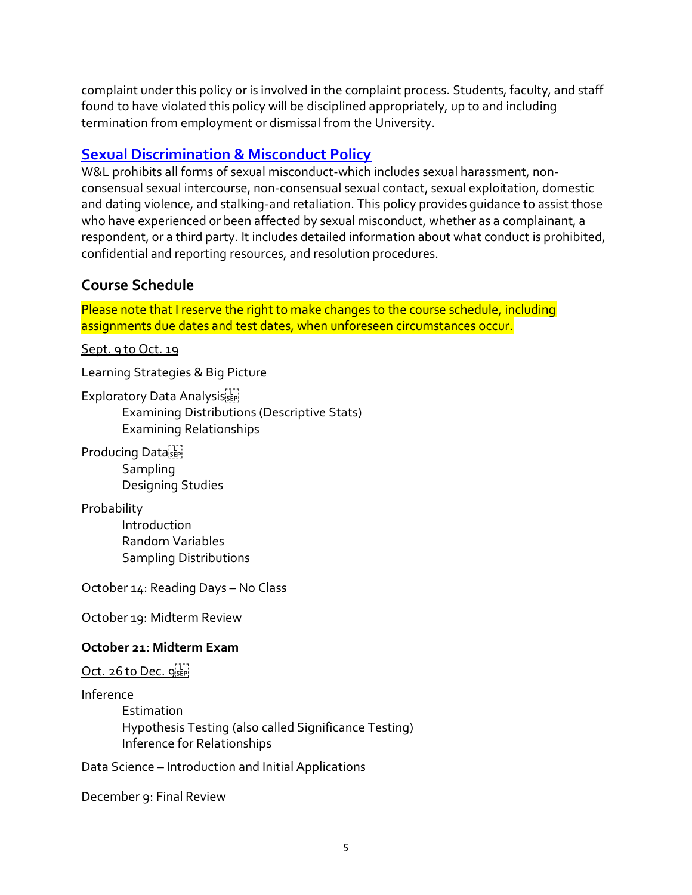complaint under this policy or is involved in the complaint process. Students, faculty, and staff found to have violated this policy will be disciplined appropriately, up to and including termination from employment or dismissal from the University.

## **[Sexual Discrimination & Misconduct Policy](https://my.wlu.edu/general-counsel/code-of-policies/discrimination-harassment-and-retaliation/sexual-discrimination-and-misconduct-policy)**

W&L prohibits all forms of sexual misconduct-which includes sexual harassment, nonconsensual sexual intercourse, non-consensual sexual contact, sexual exploitation, domestic and dating violence, and stalking-and retaliation. This policy provides guidance to assist those who have experienced or been affected by sexual misconduct, whether as a complainant, a respondent, or a third party. It includes detailed information about what conduct is prohibited, confidential and reporting resources, and resolution procedures.

### **Course Schedule**

Please note that I reserve the right to make changes to the course schedule, including assignments due dates and test dates, when unforeseen circumstances occur.

Sept. 9 to Oct. 19

Learning Strategies & Big Picture

Exploratory Data Analysisister

Examining Distributions (Descriptive Stats) Examining Relationships

Producing Data<sub>seri</sub> Sampling Designing Studies

Probability

Introduction Random Variables Sampling Distributions

October 14: Reading Days – No Class

October 19: Midterm Review

#### **October 21: Midterm Exam**

Oct. 26 to Dec. 9SEP!

Inference

Estimation Hypothesis Testing (also called Significance Testing) Inference for Relationships

Data Science – Introduction and Initial Applications

December 9: Final Review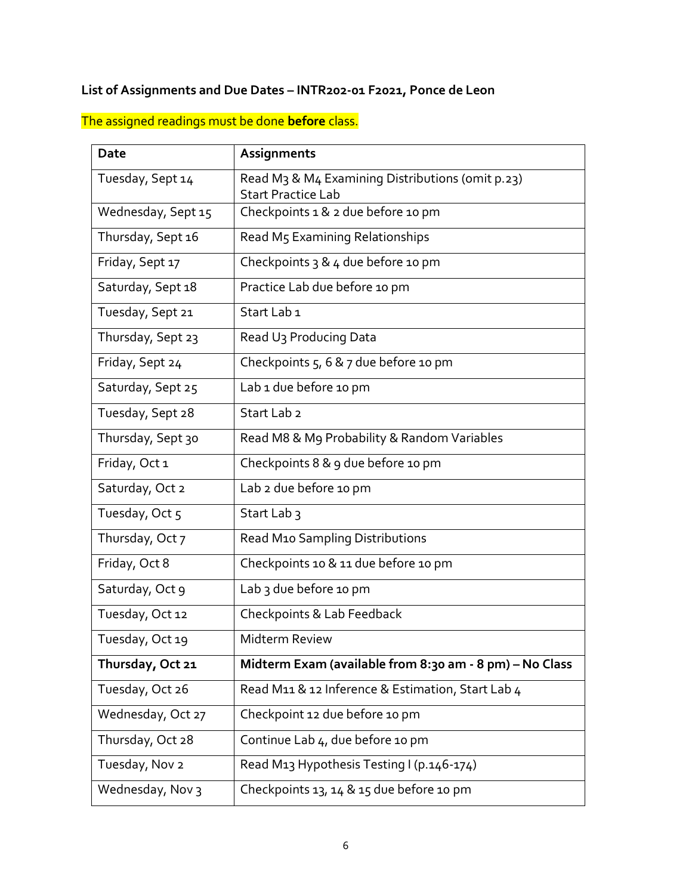### **List of Assignments and Due Dates – INTR202-01 F2021, Ponce de Leon**

The assigned readings must be done **before** class.

| <b>Date</b>        | Assignments                                                              |
|--------------------|--------------------------------------------------------------------------|
| Tuesday, Sept 14   | Read M <sub>3</sub> & M <sub>4</sub> Examining Distributions (omit p.23) |
| Wednesday, Sept 15 | <b>Start Practice Lab</b><br>Checkpoints 1 & 2 due before 10 pm          |
| Thursday, Sept 16  | Read M5 Examining Relationships                                          |
|                    |                                                                          |
| Friday, Sept 17    | Checkpoints 3 & 4 due before 10 pm                                       |
| Saturday, Sept 18  | Practice Lab due before 10 pm                                            |
| Tuesday, Sept 21   | Start Lab <sub>1</sub>                                                   |
| Thursday, Sept 23  | Read U <sub>3</sub> Producing Data                                       |
| Friday, Sept 24    | Checkpoints 5, 6 & 7 due before 10 pm                                    |
| Saturday, Sept 25  | Lab 1 due before 10 pm                                                   |
| Tuesday, Sept 28   | Start Lab <sub>2</sub>                                                   |
| Thursday, Sept 30  | Read M8 & M9 Probability & Random Variables                              |
| Friday, Oct 1      | Checkpoints 8 & 9 due before 10 pm                                       |
| Saturday, Oct 2    | Lab 2 due before 10 pm                                                   |
| Tuesday, Oct 5     | Start Lab <sub>3</sub>                                                   |
| Thursday, Oct 7    | Read M10 Sampling Distributions                                          |
| Friday, Oct 8      | Checkpoints 10 & 11 due before 10 pm                                     |
| Saturday, Oct 9    | Lab 3 due before 10 pm                                                   |
| Tuesday, Oct 12    | Checkpoints & Lab Feedback                                               |
| Tuesday, Oct 19    | Midterm Review                                                           |
| Thursday, Oct 21   | Midterm Exam (available from 8:30 am - 8 pm) - No Class                  |
| Tuesday, Oct 26    | Read M11 & 12 Inference & Estimation, Start Lab 4                        |
| Wednesday, Oct 27  | Checkpoint 12 due before 10 pm                                           |
| Thursday, Oct 28   | Continue Lab 4, due before 10 pm                                         |
| Tuesday, Nov 2     | Read M13 Hypothesis Testing I (p.146-174)                                |
| Wednesday, Nov 3   | Checkpoints 13, 14 & 15 due before 10 pm                                 |